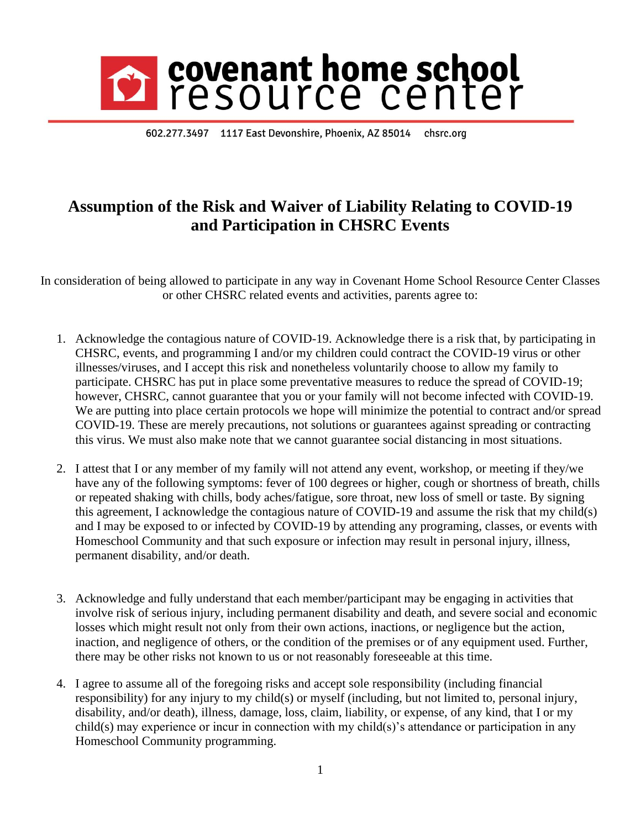## covenant home school<br>resource center

602.277.3497 1117 East Devonshire, Phoenix, AZ 85014 chsrc.org

## **Assumption of the Risk and Waiver of Liability Relating to COVID-19 and Participation in CHSRC Events**

In consideration of being allowed to participate in any way in Covenant Home School Resource Center Classes or other CHSRC related events and activities, parents agree to:

- 1. Acknowledge the contagious nature of COVID-19. Acknowledge there is a risk that, by participating in CHSRC, events, and programming I and/or my children could contract the COVID-19 virus or other illnesses/viruses, and I accept this risk and nonetheless voluntarily choose to allow my family to participate. CHSRC has put in place some preventative measures to reduce the spread of COVID-19; however, CHSRC, cannot guarantee that you or your family will not become infected with COVID-19. We are putting into place certain protocols we hope will minimize the potential to contract and/or spread COVID-19. These are merely precautions, not solutions or guarantees against spreading or contracting this virus. We must also make note that we cannot guarantee social distancing in most situations.
- 2. I attest that I or any member of my family will not attend any event, workshop, or meeting if they/we have any of the following symptoms: fever of 100 degrees or higher, cough or shortness of breath, chills or repeated shaking with chills, body aches/fatigue, sore throat, new loss of smell or taste. By signing this agreement, I acknowledge the contagious nature of COVID-19 and assume the risk that my child(s) and I may be exposed to or infected by COVID-19 by attending any programing, classes, or events with Homeschool Community and that such exposure or infection may result in personal injury, illness, permanent disability, and/or death.
- 3. Acknowledge and fully understand that each member/participant may be engaging in activities that involve risk of serious injury, including permanent disability and death, and severe social and economic losses which might result not only from their own actions, inactions, or negligence but the action, inaction, and negligence of others, or the condition of the premises or of any equipment used. Further, there may be other risks not known to us or not reasonably foreseeable at this time.
- 4. I agree to assume all of the foregoing risks and accept sole responsibility (including financial responsibility) for any injury to my child(s) or myself (including, but not limited to, personal injury, disability, and/or death), illness, damage, loss, claim, liability, or expense, of any kind, that I or my child(s) may experience or incur in connection with my child(s)'s attendance or participation in any Homeschool Community programming.